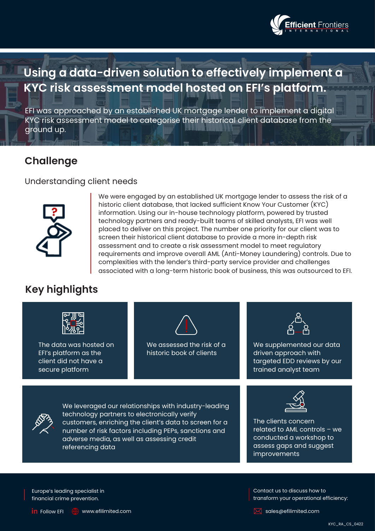

# **Using a data-driven solution to effectively implement a KYC risk assessment model hosted on EFI's platform.**

EFI was approached by an established UK mortgage lender to implement a digital KYC risk assessment model to categorise their historical client database from the ground up.

#### **Challenge**

#### Understanding client needs



We were engaged by an established UK mortgage lender to assess the risk of a historic client database, that lacked sufficient Know Your Customer (KYC) information. Using our in-house technology platform, powered by trusted technology partners and ready-built teams of skilled analysts, EFI was well placed to deliver on this project. The number one priority for our client was to screen their historical client database to provide a more in-depth risk assessment and to create a risk assessment model to meet regulatory requirements and improve overall AML (Anti-Money Laundering) controls. Due to complexities with the lender's third-party service provider and challenges associated with a long-term historic book of business, this was outsourced to EFI.

### **Key highlights**



The data was hosted on EFI's platform as the client did not have a secure platform



We assessed the risk of a historic book of clients



We supplemented our data driven approach with targeted EDD reviews by our trained analyst team



We leveraged our relationships with industry-leading technology partners to electronically verify customers, enriching the client's data to screen for a number of risk factors including PEPs, sanctions and adverse media, as well as assessing credit referencing data



The clients concern related to AML controls – we conducted a workshop to assess gaps and suggest improvements

Europe's leading specialist in financial crime prevention.

transform your operational efficiency:

Contact us to discuss how to